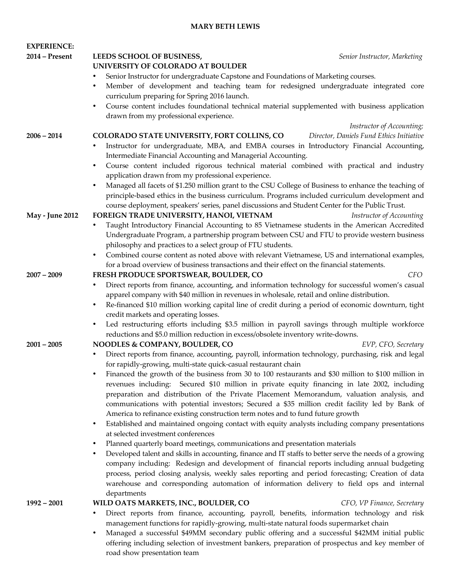## **MARY BETH LEWIS**

| <b>EXPERIENCE:</b>     |                                                                                                                                                                                                               |
|------------------------|---------------------------------------------------------------------------------------------------------------------------------------------------------------------------------------------------------------|
| 2014 – Present         | LEEDS SCHOOL OF BUSINESS,<br>Senior Instructor, Marketing                                                                                                                                                     |
|                        | UNIVERSITY OF COLORADO AT BOULDER                                                                                                                                                                             |
|                        | Senior Instructor for undergraduate Capstone and Foundations of Marketing courses.<br>$\bullet$                                                                                                               |
|                        | Member of development and teaching team for redesigned undergraduate integrated core<br>$\bullet$<br>curriculum preparing for Spring 2016 launch.                                                             |
|                        | Course content includes foundational technical material supplemented with business application<br>$\bullet$<br>drawn from my professional experience.                                                         |
|                        | Instructor of Accounting;                                                                                                                                                                                     |
| $2006 - 2014$          | COLORADO STATE UNIVERSITY, FORT COLLINS, CO<br>Director, Daniels Fund Ethics Initiative                                                                                                                       |
|                        | Instructor for undergraduate, MBA, and EMBA courses in Introductory Financial Accounting,<br>$\bullet$<br>Intermediate Financial Accounting and Managerial Accounting.                                        |
|                        | Course content included rigorous technical material combined with practical and industry<br>$\bullet$                                                                                                         |
|                        | application drawn from my professional experience.                                                                                                                                                            |
|                        | Managed all facets of \$1.250 million grant to the CSU College of Business to enhance the teaching of<br>$\bullet$                                                                                            |
|                        | principle-based ethics in the business curriculum. Programs included curriculum development and                                                                                                               |
|                        | course deployment, speakers' series, panel discussions and Student Center for the Public Trust.                                                                                                               |
| <b>May - June 2012</b> | FOREIGN TRADE UNIVERSITY, HANOI, VIETNAM<br>Instructor of Accounting                                                                                                                                          |
|                        | Taught Introductory Financial Accounting to 85 Vietnamese students in the American Accredited<br>$\bullet$                                                                                                    |
|                        | Undergraduate Program, a partnership program between CSU and FTU to provide western business                                                                                                                  |
|                        | philosophy and practices to a select group of FTU students.                                                                                                                                                   |
|                        | Combined course content as noted above with relevant Vietnamese, US and international examples,<br>$\bullet$                                                                                                  |
|                        | for a broad overview of business transactions and their effect on the financial statements.                                                                                                                   |
| $2007 - 2009$          | FRESH PRODUCE SPORTSWEAR, BOULDER, CO<br><b>CFO</b>                                                                                                                                                           |
|                        | Direct reports from finance, accounting, and information technology for successful women's casual<br>$\bullet$<br>apparel company with \$40 million in revenues in wholesale, retail and online distribution. |
|                        | Re-financed \$10 million working capital line of credit during a period of economic downturn, tight<br>$\bullet$                                                                                              |
|                        | credit markets and operating losses.                                                                                                                                                                          |
|                        | Led restructuring efforts including \$3.5 million in payroll savings through multiple workforce<br>$\bullet$                                                                                                  |
|                        | reductions and \$5.0 million reduction in excess/obsolete inventory write-downs.                                                                                                                              |
| $2001 - 2005$          | NOODLES & COMPANY, BOULDER, CO<br>EVP, CFO, Secretary                                                                                                                                                         |
|                        | Direct reports from finance, accounting, payroll, information technology, purchasing, risk and legal<br>$\bullet$                                                                                             |
|                        | for rapidly-growing, multi-state quick-casual restaurant chain                                                                                                                                                |
|                        | Financed the growth of the business from 30 to 100 restaurants and \$30 million to \$100 million in                                                                                                           |
|                        | revenues including: Secured \$10 million in private equity financing in late 2002, including                                                                                                                  |
|                        | preparation and distribution of the Private Placement Memorandum, valuation analysis, and                                                                                                                     |
|                        | communications with potential investors; Secured a \$35 million credit facility led by Bank of                                                                                                                |
|                        | America to refinance existing construction term notes and to fund future growth                                                                                                                               |
|                        | Established and maintained ongoing contact with equity analysts including company presentations<br>$\bullet$<br>at selected investment conferences                                                            |
|                        | Planned quarterly board meetings, communications and presentation materials<br>٠                                                                                                                              |
|                        | Developed talent and skills in accounting, finance and IT staffs to better serve the needs of a growing<br>$\bullet$                                                                                          |
|                        | company including: Redesign and development of financial reports including annual budgeting                                                                                                                   |
|                        | process, period closing analysis, weekly sales reporting and period forecasting; Creation of data                                                                                                             |
|                        | warehouse and corresponding automation of information delivery to field ops and internal                                                                                                                      |
|                        | departments                                                                                                                                                                                                   |
| $1992 - 2001$          | WILD OATS MARKETS, INC., BOULDER, CO<br>CFO, VP Finance, Secretary                                                                                                                                            |
|                        | Direct reports from finance, accounting, payroll, benefits, information technology and risk<br>$\bullet$                                                                                                      |
|                        | management functions for rapidly-growing, multi-state natural foods supermarket chain<br>Managed a successful \$49MM secondary public offering and a successful \$42MM initial public<br>$\bullet$            |

• Managed a successful \$49MM secondary public offering and a successful \$42MM initial public offering including selection of investment bankers, preparation of prospectus and key member of road show presentation team